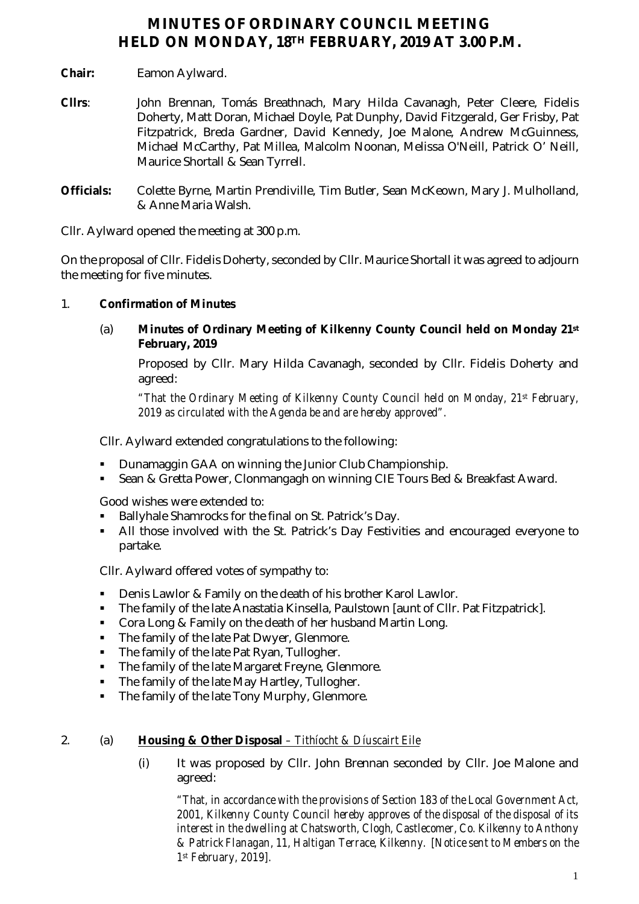# **MINUTES OF ORDINARY COUNCIL MEETING HELD ON MONDAY, 18TH FEBRUARY, 2019 AT 3.00 P.M.**

- **Chair:** Eamon Aylward.
- **Cllrs**: John Brennan, Tomás Breathnach, Mary Hilda Cavanagh, Peter Cleere, Fidelis Doherty, Matt Doran, Michael Doyle, Pat Dunphy, David Fitzgerald, Ger Frisby, Pat Fitzpatrick, Breda Gardner, David Kennedy, Joe Malone, Andrew McGuinness, Michael McCarthy, Pat Millea, Malcolm Noonan, Melissa O'Neill, Patrick O' Neill, Maurice Shortall & Sean Tyrrell.
- **Officials:** Colette Byrne, Martin Prendiville, Tim Butler, Sean McKeown, Mary J. Mulholland, & Anne Maria Walsh.

Cllr. Aylward opened the meeting at 300 p.m.

On the proposal of Cllr. Fidelis Doherty, seconded by Cllr. Maurice Shortall it was agreed to adjourn the meeting for five minutes.

# 1. **Confirmation of Minutes**

(a) **Minutes of Ordinary Meeting of Kilkenny County Council held on Monday 21st February, 2019**

Proposed by Cllr. Mary Hilda Cavanagh, seconded by Cllr. Fidelis Doherty and agreed:

*"That the Ordinary Meeting of Kilkenny County Council held on Monday, 21st February, 2019 as circulated with the Agenda be and are hereby approved".*

Cllr. Aylward extended congratulations to the following:

- Dunamaggin GAA on winning the Junior Club Championship.
- Sean & Gretta Power, Clonmangagh on winning CIE Tours Bed & Breakfast Award.

Good wishes were extended to:

- Ballyhale Shamrocks for the final on St. Patrick's Day.
- All those involved with the St. Patrick's Day Festivities and encouraged everyone to partake.

Cllr. Aylward offered votes of sympathy to:

- Denis Lawlor & Family on the death of his brother Karol Lawlor.
- The family of the late Anastatia Kinsella, Paulstown [aunt of Cllr. Pat Fitzpatrick].
- Cora Long & Family on the death of her husband Martin Long.
- The family of the late Pat Dwyer, Glenmore.<br>The family of the late Pat Ryan, Tullogher.
- The family of the late Pat Ryan, Tullogher.
- The family of the late Margaret Freyne, Glenmore.
- The family of the late May Hartley, Tullogher.
- The family of the late Tony Murphy, Glenmore.

# 2. (a) **Housing & Other Disposal** *– Tithíocht & Díuscairt Eile*

(i) It was proposed by Cllr. John Brennan seconded by Cllr. Joe Malone and agreed:

*"That, in accordance with the provisions of Section 183 of the Local Government Act, 2001, Kilkenny County Council hereby approves of the disposal of the disposal of its interest in the dwelling at Chatsworth, Clogh, Castlecomer, Co. Kilkenny to Anthony & Patrick Flanagan, 11, Haltigan Terrace, Kilkenny. [Notice sent to Members on the 1st February, 2019].*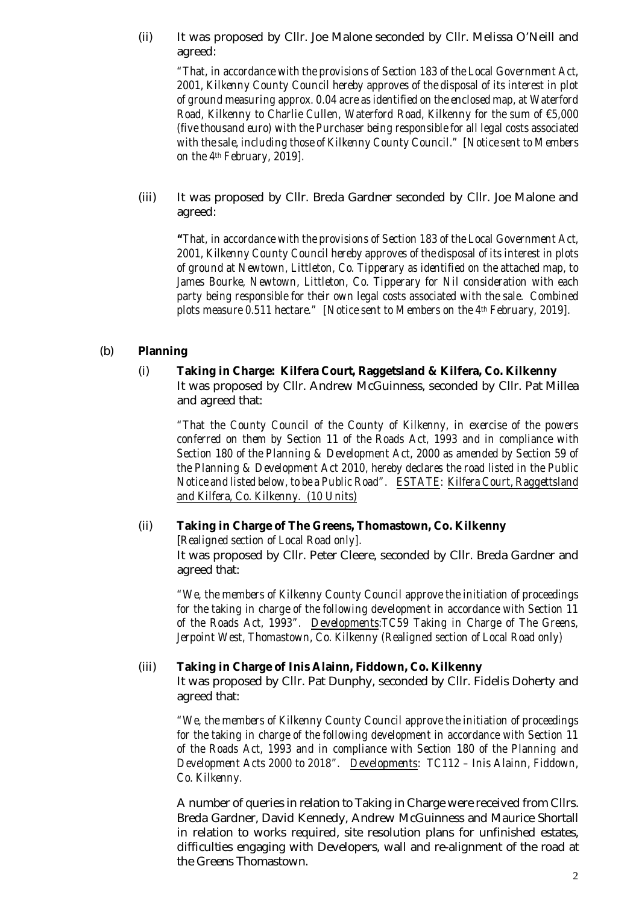(ii) It was proposed by Cllr. Joe Malone seconded by Cllr. Melissa O'Neill and agreed:

*"That, in accordance with the provisions of Section 183 of the Local Government Act, 2001, Kilkenny County Council hereby approves of the disposal of its interest in plot of ground measuring approx. 0.04 acre as identified on the enclosed map, at Waterford Road, Kilkenny to Charlie Cullen, Waterford Road, Kilkenny for the sum of €5,000 (five thousand euro) with the Purchaser being responsible for all legal costs associated with the sale, including those of Kilkenny County Council." [Notice sent to Members on the 4th February, 2019].*

(iii) It was proposed by Cllr. Breda Gardner seconded by Cllr. Joe Malone and agreed:

*"That, in accordance with the provisions of Section 183 of the Local Government Act, 2001, Kilkenny County Council hereby approves of the disposal of its interest in plots of ground at Newtown, Littleton, Co. Tipperary as identified on the attached map, to James Bourke, Newtown, Littleton, Co. Tipperary for Nil consideration with each party being responsible for their own legal costs associated with the sale. Combined plots measure 0.511 hectare." [Notice sent to Members on the 4th February, 2019].*

#### (b) **Planning**

(i) **Taking in Charge: Kilfera Court, Raggetsland & Kilfera, Co. Kilkenny** It was proposed by Cllr. Andrew McGuinness, seconded by Cllr. Pat Millea and agreed that:

*"That the County Council of the County of Kilkenny, in exercise of the powers conferred on them by Section 11 of the Roads Act, 1993 and in compliance with Section 180 of the Planning & Development Act, 2000 as amended by Section 59 of the Planning & Development Act 2010, hereby declares the road listed in the Public Notice and listed below, to be a Public Road". ESTATE: Kilfera Court, Raggettsland and Kilfera, Co. Kilkenny. (10 Units)*

# (ii) **Taking in Charge of The Greens, Thomastown, Co. Kilkenny**

[*Realigned section of Local Road only].* It was proposed by Cllr. Peter Cleere, seconded by Cllr. Breda Gardner and agreed that:

*"We, the members of Kilkenny County Council approve the initiation of proceedings for the taking in charge of the following development in accordance with Section 11 of the Roads Act, 1993". Developments:TC59 Taking in Charge of The Greens, Jerpoint West, Thomastown, Co. Kilkenny (Realigned section of Local Road only)*

#### (iii) **Taking in Charge of Inis Alainn, Fiddown, Co. Kilkenny**

It was proposed by Cllr. Pat Dunphy, seconded by Cllr. Fidelis Doherty and agreed that:

*"We, the members of Kilkenny County Council approve the initiation of proceedings for the taking in charge of the following development in accordance with Section 11 of the Roads Act, 1993 and in compliance with Section 180 of the Planning and Development Acts 2000 to 2018". Developments: TC112 – Inis Alainn, Fiddown, Co. Kilkenny.*

A number of queries in relation to Taking in Charge were received from Cllrs. Breda Gardner, David Kennedy, Andrew McGuinness and Maurice Shortall in relation to works required, site resolution plans for unfinished estates, difficulties engaging with Developers, wall and re-alignment of the road at the Greens Thomastown.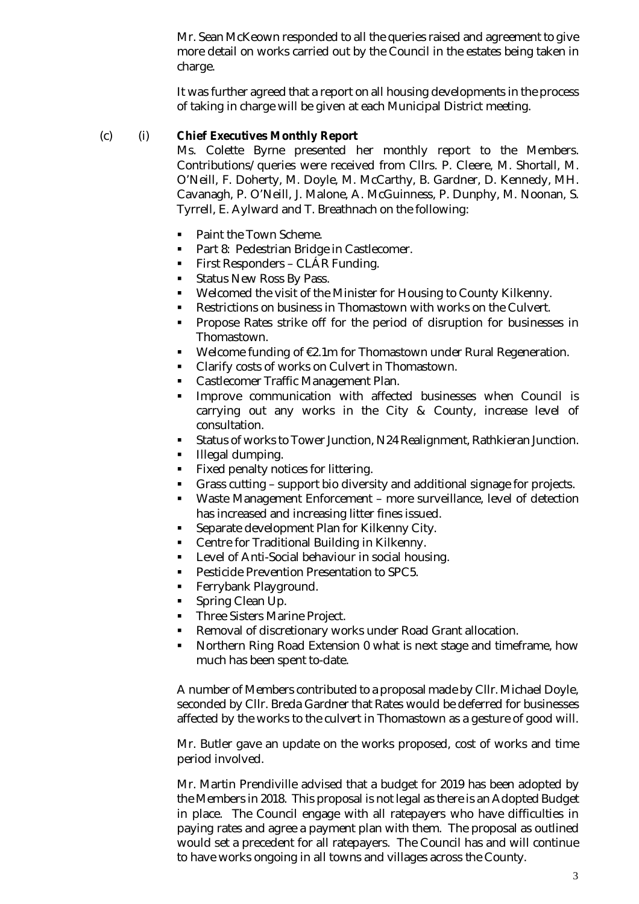Mr. Sean McKeown responded to all the queries raised and agreement to give more detail on works carried out by the Council in the estates being taken in charge.

It was further agreed that a report on all housing developments in the process of taking in charge will be given at each Municipal District meeting.

# (c) (i) **Chief Executives Monthly Report**

Ms. Colette Byrne presented her monthly report to the Members. Contributions/queries were received from Cllrs. P. Cleere, M. Shortall, M. O'Neill, F. Doherty, M. Doyle, M. McCarthy, B. Gardner, D. Kennedy, MH. Cavanagh, P. O'Neill, J. Malone, A. McGuinness, P. Dunphy, M. Noonan, S. Tyrrell, E. Aylward and T. Breathnach on the following:

- Paint the Town Scheme.
- **Part 8: Pedestrian Bridge in Castlecomer.**
- **First Responders CLÁR Funding.**
- Status New Ross By Pass.
- Welcomed the visit of the Minister for Housing to County Kilkenny.
- Restrictions on business in Thomastown with works on the Culvert.
- Propose Rates strike off for the period of disruption for businesses in Thomastown.
- Welcome funding of €2.1m for Thomastown under Rural Regeneration.
- **Clarify costs of works on Culvert in Thomastown.**
- **Castlecomer Traffic Management Plan.**
- Improve communication with affected businesses when Council is carrying out any works in the City & County, increase level of consultation.
- Status of works to Tower Junction, N24 Realignment, Rathkieran Junction.
- **Illegal dumping.**
- Fixed penalty notices for littering.
- Grass cutting support bio diversity and additional signage for projects.
- Waste Management Enforcement more surveillance, level of detection has increased and increasing litter fines issued.
- Separate development Plan for Kilkenny City.
- Centre for Traditional Building in Kilkenny.
- Level of Anti-Social behaviour in social housing.
- Pesticide Prevention Presentation to SPC5.
- **Ferrybank Playground.**
- **Spring Clean Up.**
- **Three Sisters Marine Project.**
- Removal of discretionary works under Road Grant allocation.
- Northern Ring Road Extension 0 what is next stage and timeframe, how much has been spent to-date.

A number of Members contributed to a proposal made by Cllr. Michael Doyle, seconded by Cllr. Breda Gardner that Rates would be deferred for businesses affected by the works to the culvert in Thomastown as a gesture of good will.

Mr. Butler gave an update on the works proposed, cost of works and time period involved.

Mr. Martin Prendiville advised that a budget for 2019 has been adopted by the Members in 2018. This proposal is not legal as there is an Adopted Budget in place. The Council engage with all ratepayers who have difficulties in paying rates and agree a payment plan with them. The proposal as outlined would set a precedent for all ratepayers. The Council has and will continue to have works ongoing in all towns and villages across the County.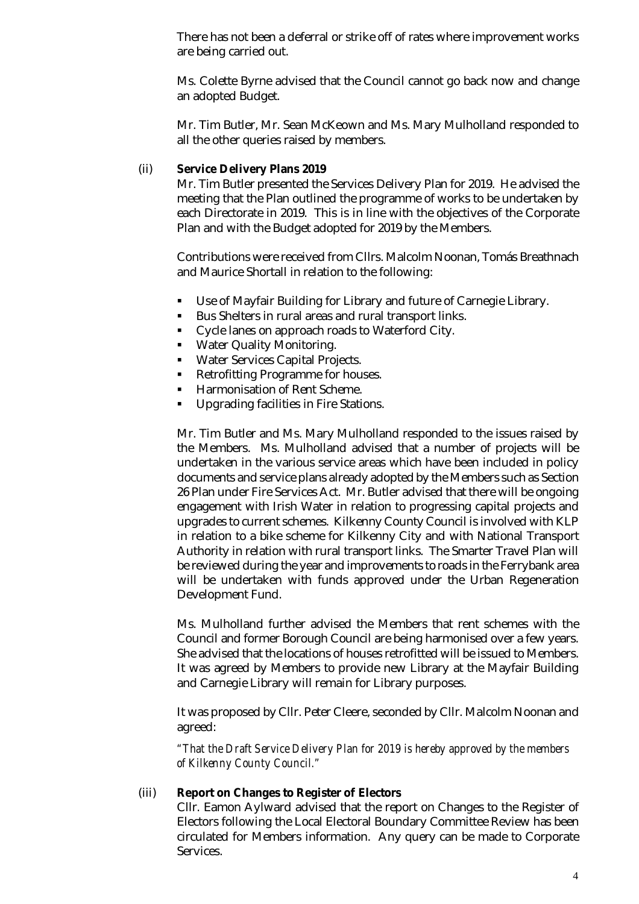There has not been a deferral or strike off of rates where improvement works are being carried out.

Ms. Colette Byrne advised that the Council cannot go back now and change an adopted Budget.

Mr. Tim Butler, Mr. Sean McKeown and Ms. Mary Mulholland responded to all the other queries raised by members.

#### (ii) **Service Delivery Plans 2019**

Mr. Tim Butler presented the Services Delivery Plan for 2019. He advised the meeting that the Plan outlined the programme of works to be undertaken by each Directorate in 2019. This is in line with the objectives of the Corporate Plan and with the Budget adopted for 2019 by the Members.

Contributions were received from Cllrs. Malcolm Noonan, Tomás Breathnach and Maurice Shortall in relation to the following:

- Use of Mayfair Building for Library and future of Carnegie Library.
- Bus Shelters in rural areas and rural transport links.
- **Cycle lanes on approach roads to Waterford City.**
- **Water Quality Monitoring.**
- **Water Services Capital Projects.**
- **Retrofitting Programme for houses.**
- Harmonisation of Rent Scheme.
- Upgrading facilities in Fire Stations.

Mr. Tim Butler and Ms. Mary Mulholland responded to the issues raised by the Members. Ms. Mulholland advised that a number of projects will be undertaken in the various service areas which have been included in policy documents and service plans already adopted by the Members such as Section 26 Plan under Fire Services Act. Mr. Butler advised that there will be ongoing engagement with Irish Water in relation to progressing capital projects and upgrades to current schemes. Kilkenny County Council is involved with KLP in relation to a bike scheme for Kilkenny City and with National Transport Authority in relation with rural transport links. The Smarter Travel Plan will be reviewed during the year and improvements to roads in the Ferrybank area will be undertaken with funds approved under the Urban Regeneration Development Fund.

Ms. Mulholland further advised the Members that rent schemes with the Council and former Borough Council are being harmonised over a few years. She advised that the locations of houses retrofitted will be issued to Members. It was agreed by Members to provide new Library at the Mayfair Building and Carnegie Library will remain for Library purposes.

It was proposed by Cllr. Peter Cleere, seconded by Cllr. Malcolm Noonan and agreed:

*"That the Draft Service Delivery Plan for 2019 is hereby approved by the members of Kilkenny County Council."*

#### (iii) **Report on Changes to Register of Electors**

Cllr. Eamon Aylward advised that the report on Changes to the Register of Electors following the Local Electoral Boundary Committee Review has been circulated for Members information. Any query can be made to Corporate Services.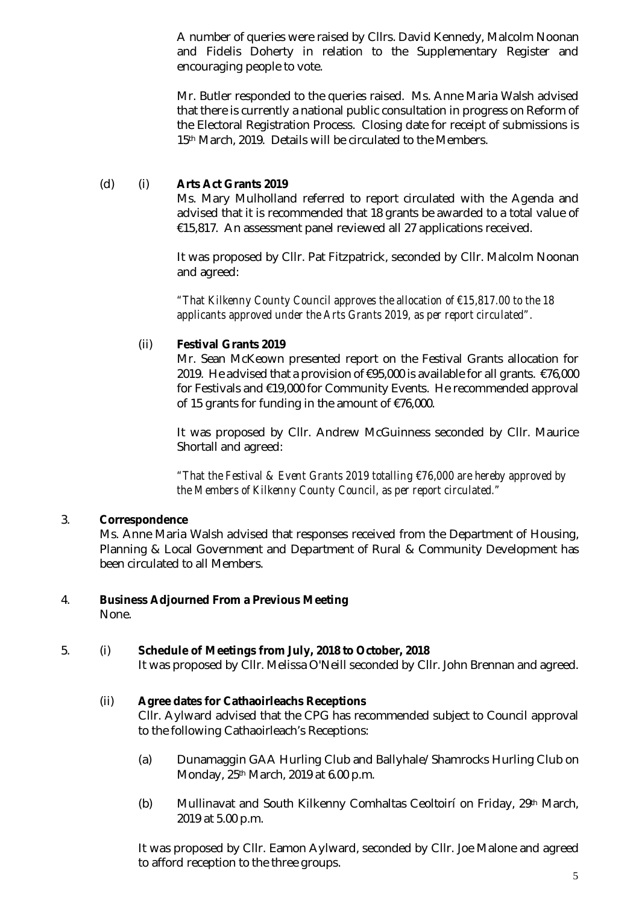A number of queries were raised by Cllrs. David Kennedy, Malcolm Noonan and Fidelis Doherty in relation to the Supplementary Register and encouraging people to vote.

Mr. Butler responded to the queries raised. Ms. Anne Maria Walsh advised that there is currently a national public consultation in progress on Reform of the Electoral Registration Process. Closing date for receipt of submissions is 15<sup>th</sup> March, 2019. Details will be circulated to the Members.

# (d) (i) **Arts Act Grants 2019**

Ms. Mary Mulholland referred to report circulated with the Agenda and advised that it is recommended that 18 grants be awarded to a total value of €15,817. An assessment panel reviewed all 27 applications received.

It was proposed by Cllr. Pat Fitzpatrick, seconded by Cllr. Malcolm Noonan and agreed:

*"That Kilkenny County Council approves the allocation of €15,817.00 to the 18 applicants approved under the Arts Grants 2019, as per report circulated".* 

# (ii) **Festival Grants 2019**

Mr. Sean McKeown presented report on the Festival Grants allocation for 2019. He advised that a provision of €95,000 is available for all grants. €76,000 for Festivals and €19,000 for Community Events. He recommended approval of 15 grants for funding in the amount of €76,000.

It was proposed by Cllr. Andrew McGuinness seconded by Cllr. Maurice Shortall and agreed:

*"That the Festival & Event Grants 2019 totalling €76,000 are hereby approved by the Members of Kilkenny County Council, as per report circulated."*

#### 3. **Correspondence**

Ms. Anne Maria Walsh advised that responses received from the Department of Housing, Planning & Local Government and Department of Rural & Community Development has been circulated to all Members.

# 4. **Business Adjourned From a Previous Meeting**

None.

# 5. (i) **Schedule of Meetings from July, 2018 to October, 2018**

It was proposed by Cllr. Melissa O'Neill seconded by Cllr. John Brennan and agreed.

# (ii) **Agree dates for Cathaoirleachs Receptions**

Cllr. Aylward advised that the CPG has recommended subject to Council approval to the following Cathaoirleach's Receptions:

- (a) Dunamaggin GAA Hurling Club and Ballyhale/Shamrocks Hurling Club on Monday, 25th March, 2019 at 6.00 p.m.
- (b) Mullinavat and South Kilkenny Comhaltas Ceoltoirí on Friday, 29th March, 2019 at 5.00 p.m.

It was proposed by Cllr. Eamon Aylward, seconded by Cllr. Joe Malone and agreed to afford reception to the three groups.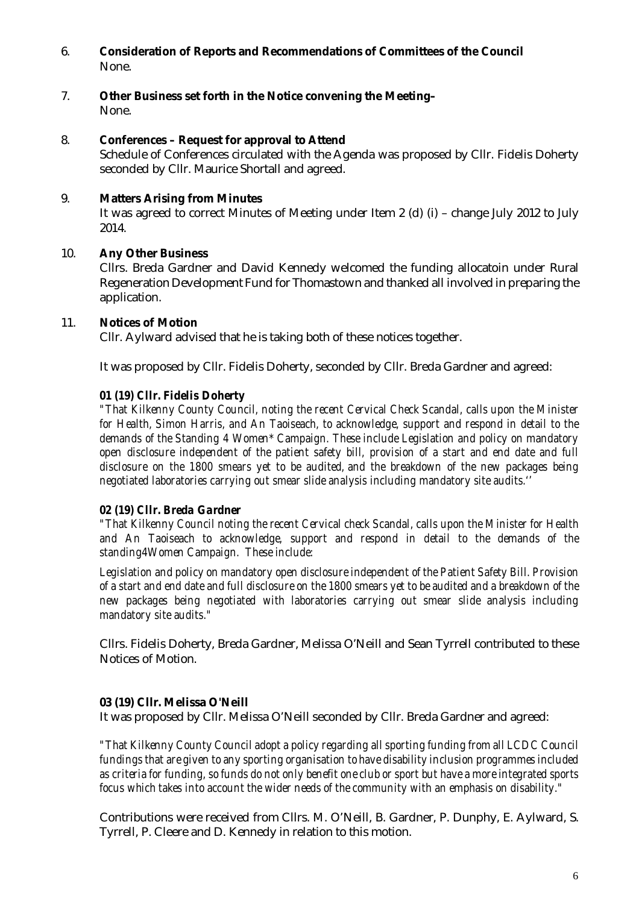- 6. **Consideration of Reports and Recommendations of Committees of the Council** None.
- 7. **Other Business set forth in the Notice convening the Meeting–** None.

#### 8. **Conferences – Request for approval to Attend**

Schedule of Conferences circulated with the Agenda was proposed by Cllr. Fidelis Doherty seconded by Cllr. Maurice Shortall and agreed.

# 9. **Matters Arising from Minutes**

It was agreed to correct Minutes of Meeting under Item 2 (d) (i) – change July 2012 to July 2014.

#### 10. **Any Other Business**

Cllrs. Breda Gardner and David Kennedy welcomed the funding allocatoin under Rural Regeneration Development Fund for Thomastown and thanked all involved in preparing the application.

#### 11. **Notices of Motion**

Cllr. Aylward advised that he is taking both of these notices together.

It was proposed by Cllr. Fidelis Doherty, seconded by Cllr. Breda Gardner and agreed:

#### *01 (19) Cllr. Fidelis Doherty*

*"That Kilkenny County Council, noting the recent Cervical Check Scandal, calls upon the Minister*  for Health, Simon Harris, and An Taoiseach, to acknowledge, support and respond in detail to the *demands of the Standing 4 Women\* Campaign. These include Legislation and policy on mandatory open disclosure independent of the patient safety bill, provision of a start and end date and full disclosure on the 1800 smears yet to be audited, and the breakdown of the new packages being negotiated laboratories carrying out smear slide analysis including mandatory site audits.''*

#### *02 (19) Cllr. Breda Gardner*

*"That Kilkenny Council noting the recent Cervical check Scandal, calls upon the Minister for Health and An Taoiseach to acknowledge, support and respond in detail to the demands of the standing4Women Campaign. These include:*

*Legislation and policy on mandatory open disclosure independent of the Patient Safety Bill. Provision of a start and end date and full disclosure on the 1800 smears yet to be audited and a breakdown of the new packages being negotiated with laboratories carrying out smear slide analysis including mandatory site audits."*

Cllrs. Fidelis Doherty, Breda Gardner, Melissa O'Neill and Sean Tyrrell contributed to these Notices of Motion.

#### **03 (19) Cllr. Melissa O'Neill**

It was proposed by Cllr. Melissa O'Neill seconded by Cllr. Breda Gardner and agreed:

*"That Kilkenny County Council adopt a policy regarding all sporting funding from all LCDC Council fundings that are given to any sporting organisation to have disability inclusion programmes included as criteria for funding, so funds do not only benefit one club or sport but have a more integrated sports focus which takes into account the wider needs of the community with an emphasis on disability."*

Contributions were received from Cllrs. M. O'Neill, B. Gardner, P. Dunphy, E. Aylward, S. Tyrrell, P. Cleere and D. Kennedy in relation to this motion.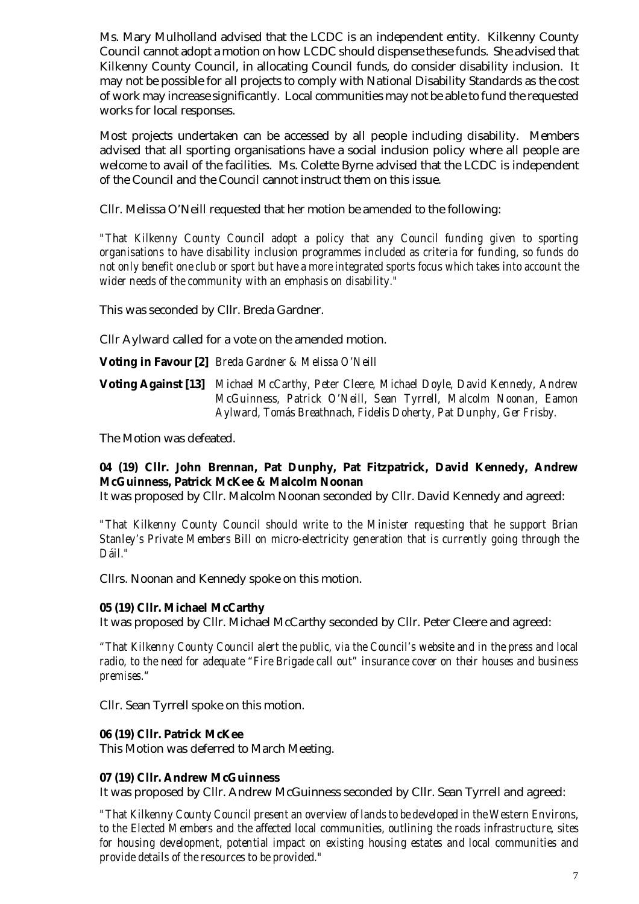Ms. Mary Mulholland advised that the LCDC is an independent entity. Kilkenny County Council cannot adopt a motion on how LCDC should dispense these funds. She advised that Kilkenny County Council, in allocating Council funds, do consider disability inclusion. It may not be possible for all projects to comply with National Disability Standards as the cost of work may increase significantly. Local communities may not be able to fund the requested works for local responses.

Most projects undertaken can be accessed by all people including disability. Members advised that all sporting organisations have a social inclusion policy where all people are welcome to avail of the facilities. Ms. Colette Byrne advised that the LCDC is independent of the Council and the Council cannot instruct them on this issue.

Cllr. Melissa O'Neill requested that her motion be amended to the following:

*"That Kilkenny County Council adopt a policy that any Council funding given to sporting organisations to have disability inclusion programmes included as criteria for funding, so funds do not only benefit one club or sport but have a more integrated sports focus which takes into account the wider needs of the community with an emphasis on disability."*

This was seconded by Cllr. Breda Gardner.

Cllr Aylward called for a vote on the amended motion.

**Voting in Favour [2]** *Breda Gardner & Melissa O'Neill*

**Voting Against [13]** *Michael McCarthy, Peter Cleere, Michael Doyle, David Kennedy, Andrew McGuinness, Patrick O'Neill, Sean Tyrrell, Malcolm Noonan, Eamon Aylward, Tomás Breathnach, Fidelis Doherty, Pat Dunphy, Ger Frisby.*

The Motion was defeated.

# **04 (19) Cllr. John Brennan, Pat Dunphy, Pat Fitzpatrick, David Kennedy, Andrew McGuinness, Patrick McKee & Malcolm Noonan**

It was proposed by Cllr. Malcolm Noonan seconded by Cllr. David Kennedy and agreed:

*"That Kilkenny County Council should write to the Minister requesting that he support Brian Stanley's Private Members Bill on micro-electricity generation that is currently going through the Dáil."*

Cllrs. Noonan and Kennedy spoke on this motion.

#### **05 (19) Cllr. Michael McCarthy**

It was proposed by Cllr. Michael McCarthy seconded by Cllr. Peter Cleere and agreed:

*"That Kilkenny County Council alert the public, via the Council's website and in the press and local radio, to the need for adequate "Fire Brigade call out" insurance cover on their houses and business premises."*

Cllr. Sean Tyrrell spoke on this motion.

#### **06 (19) Cllr. Patrick McKee**

This Motion was deferred to March Meeting.

#### **07 (19) Cllr. Andrew McGuinness**

It was proposed by Cllr. Andrew McGuinness seconded by Cllr. Sean Tyrrell and agreed:

*"That Kilkenny County Council present an overview of lands to be developed in the Western Environs, to the Elected Members and the affected local communities, outlining the roads infrastructure, sites for housing development, potential impact on existing housing estates and local communities and provide details of the resources to be provided."*